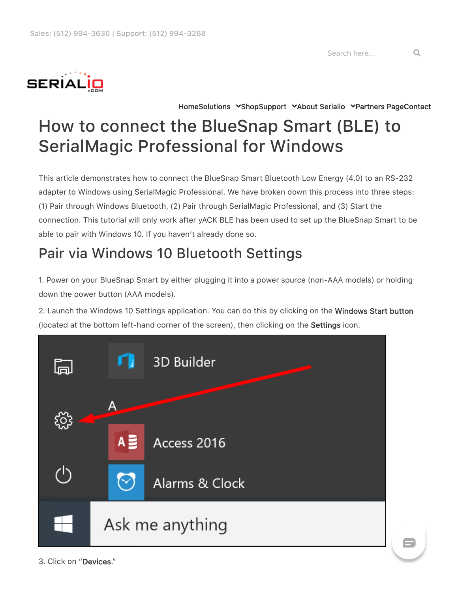Search here... Q



[Home](https://serialio.com/)[Solutions](https://serialio.com/solutions/) [Shop](https://buy.serialio.com/)[Support](https://serialio.com/support-home/) Shout Serialio Spartners Page[Contact](https://serialio.com/contact-us/)

## How to connect the BlueSnap Smart (BLE) to SerialMagic Professional for Windows

This article demonstrates how to connect the BlueSnap Smart Bluetooth Low Energy (4.0) to an RS-232 adapter to Windows using SerialMagic Professional. We have broken down this process into three steps: (1) Pair through Windows Bluetooth, (2) Pair through SerialMagic Professional, and (3) Start the connection. This tutorial will only work after yACK BLE has been used to set up the BlueSnap Smart to be able to pair with Windows 10. If you haven't already done so.

## Pair via Windows 10 Bluetooth Settings

1. Power on your BlueSnap Smart by either plugging it into a power source (non-AAA models) or holding down the power button (AAA models).

2. Launch the Windows 10 Settings application. You can do this by clicking on the **Windows Start button** (located at the bottom left-hand corner of the screen), then clicking on the Settings icon.



 $\blacksquare$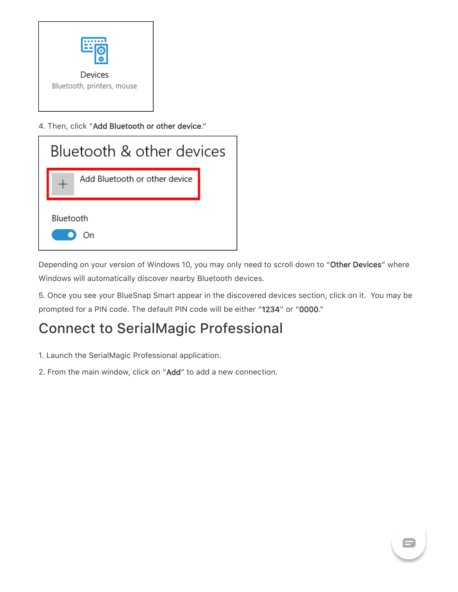

4. Then, click "Add Bluetooth or other device."



Depending on your version of Windows 10, you may only need to scroll down to "Other Devices" where Windows will automatically discover nearby Bluetooth devices.

5. Once you see your BlueSnap Smart appear in the discovered devices section, click on it. You may be prompted for a PIN code. The default PIN code will be either "1234" or "0000."

 $\blacksquare$ 

## Connect to SerialMagic Professional

- 1. Launch the SerialMagic Professional application.
- 2. From the main window, click on "Add" to add a new connection.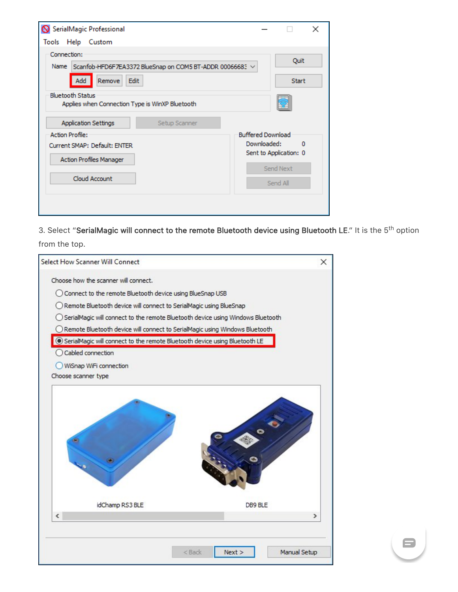| SerialMagic Professional                                                                              |                          |                      | $\times$ |
|-------------------------------------------------------------------------------------------------------|--------------------------|----------------------|----------|
| Tools Help Custom                                                                                     |                          |                      |          |
| Connection:<br>Name Scanfob-HFD6F7EA3372 BlueSnap on COM5 BT-ADDR 00066683 V<br>Edit<br>Remove<br>Add |                          | Quit<br><b>Start</b> |          |
| <b>Bluetooth Status</b><br>Applies when Connection Type is WinXP Bluetooth                            |                          |                      |          |
| <b>Application Settings</b><br>Setup Scanner                                                          |                          |                      |          |
| <b>Action Profile:</b>                                                                                | <b>Buffered Download</b> |                      |          |
| Current SMAP: Default: ENTER                                                                          | Downloaded:<br>o         |                      |          |
| Action Profiles Manager                                                                               | Sent to Application: 0   |                      |          |
|                                                                                                       |                          | Send Next            |          |
| Cloud Account                                                                                         |                          | Send All             |          |
|                                                                                                       |                          |                      |          |
|                                                                                                       |                          |                      |          |

3. Select "SerialMagic will connect to the remote Bluetooth device using Bluetooth LE." It is the 5<sup>th</sup> option from the top.

 $\blacksquare$ 

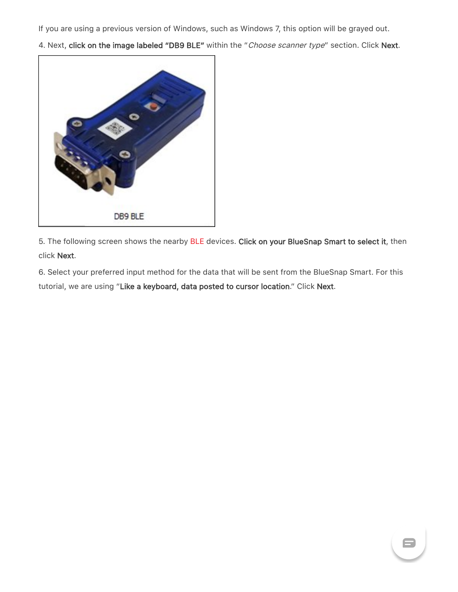If you are using a previous version of Windows, such as Windows 7, this option will be grayed out.

4. Next, click on the image labeled "DB9 BLE" within the "Choose scanner type" section. Click Next.



5. The following screen shows the nearby [BLE](https://www.serialio.com/term/ble) devices. Click on your BlueSnap Smart to select it, then click Next.

6. Select your preferred input method for the data that will be sent from the BlueSnap Smart. For this tutorial, we are using "Like a keyboard, data posted to cursor location." Click Next.

 $\blacksquare$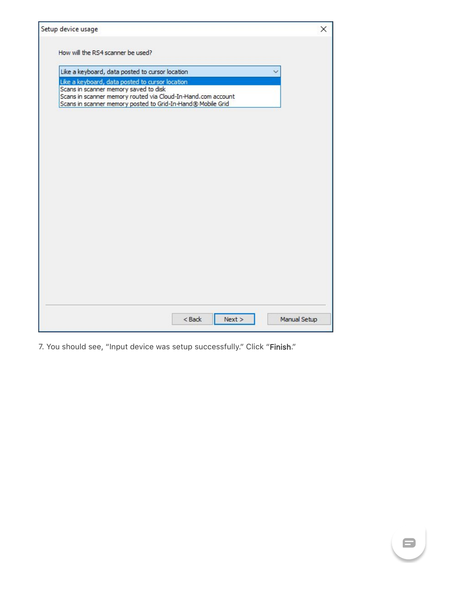| How will the RS4 scanner be used?                                                        |  |  |
|------------------------------------------------------------------------------------------|--|--|
|                                                                                          |  |  |
| Like a keyboard, data posted to cursor location                                          |  |  |
| Like a keyboard, data posted to cursor location<br>Scans in scanner memory saved to disk |  |  |
| Scans in scanner memory routed via Cloud-In-Hand.com account                             |  |  |
| Scans in scanner memory posted to Grid-In-Hand® Mobile Grid                              |  |  |
|                                                                                          |  |  |
|                                                                                          |  |  |
|                                                                                          |  |  |
|                                                                                          |  |  |
|                                                                                          |  |  |
|                                                                                          |  |  |
|                                                                                          |  |  |
|                                                                                          |  |  |
|                                                                                          |  |  |
|                                                                                          |  |  |
|                                                                                          |  |  |
|                                                                                          |  |  |
|                                                                                          |  |  |
|                                                                                          |  |  |
|                                                                                          |  |  |
|                                                                                          |  |  |
|                                                                                          |  |  |
|                                                                                          |  |  |
|                                                                                          |  |  |
|                                                                                          |  |  |
|                                                                                          |  |  |
|                                                                                          |  |  |
|                                                                                          |  |  |
|                                                                                          |  |  |
|                                                                                          |  |  |
|                                                                                          |  |  |
|                                                                                          |  |  |

7. You should see, "Input device was setup successfully." Click "Finish."